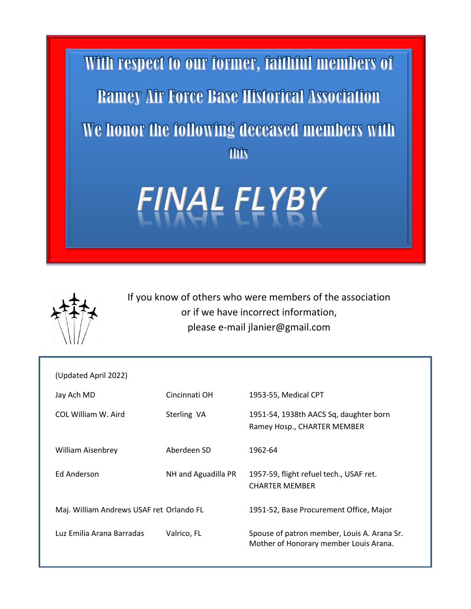



If you know of others who were members of the association or if we have incorrect information, please e-mail jlanier@gmail.com

| (Updated April 2022)                     |                     |                                                                                       |
|------------------------------------------|---------------------|---------------------------------------------------------------------------------------|
| Jay Ach MD                               | Cincinnati OH       | 1953-55, Medical CPT                                                                  |
| COL William W. Aird                      | Sterling VA         | 1951-54, 1938th AACS Sq, daughter born<br>Ramey Hosp., CHARTER MEMBER                 |
| <b>William Aisenbrey</b>                 | Aberdeen SD         | 1962-64                                                                               |
| Ed Anderson                              | NH and Aguadilla PR | 1957-59, flight refuel tech., USAF ret.<br><b>CHARTER MEMBER</b>                      |
| Maj. William Andrews USAF ret Orlando FL |                     | 1951-52, Base Procurement Office, Major                                               |
| Luz Emilia Arana Barradas                | Valrico, FL         | Spouse of patron member, Louis A. Arana Sr.<br>Mother of Honorary member Louis Arana. |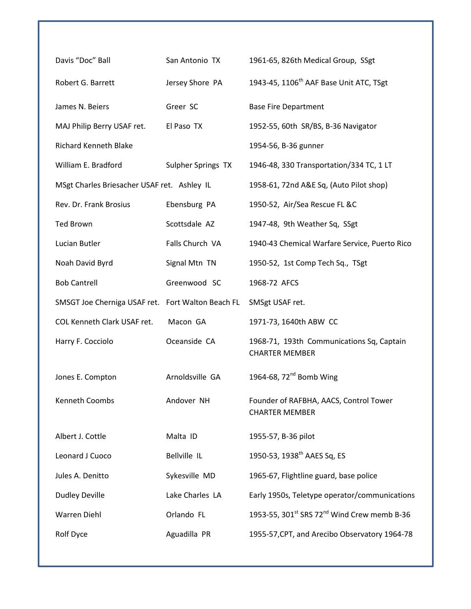| Davis "Doc" Ball                                  | San Antonio TX     | 1961-65, 826th Medical Group, SSgt                                  |
|---------------------------------------------------|--------------------|---------------------------------------------------------------------|
| Robert G. Barrett                                 | Jersey Shore PA    | 1943-45, 1106 <sup>th</sup> AAF Base Unit ATC, TSgt                 |
| James N. Beiers                                   | Greer SC           | <b>Base Fire Department</b>                                         |
| MAJ Philip Berry USAF ret.                        | El Paso TX         | 1952-55, 60th SR/BS, B-36 Navigator                                 |
| <b>Richard Kenneth Blake</b>                      |                    | 1954-56, B-36 gunner                                                |
| William E. Bradford                               | Sulpher Springs TX | 1946-48, 330 Transportation/334 TC, 1 LT                            |
| MSgt Charles Briesacher USAF ret. Ashley IL       |                    | 1958-61, 72nd A&E Sq, (Auto Pilot shop)                             |
| Rev. Dr. Frank Brosius                            | Ebensburg PA       | 1950-52, Air/Sea Rescue FL &C                                       |
| <b>Ted Brown</b>                                  | Scottsdale AZ      | 1947-48, 9th Weather Sq, SSgt                                       |
| Lucian Butler                                     | Falls Church VA    | 1940-43 Chemical Warfare Service, Puerto Rico                       |
| Noah David Byrd                                   | Signal Mtn TN      | 1950-52, 1st Comp Tech Sq., TSgt                                    |
| <b>Bob Cantrell</b>                               | Greenwood SC       | 1968-72 AFCS                                                        |
| SMSGT Joe Cherniga USAF ret. Fort Walton Beach FL |                    | SMSgt USAF ret.                                                     |
|                                                   |                    |                                                                     |
| COL Kenneth Clark USAF ret.                       | Macon GA           | 1971-73, 1640th ABW CC                                              |
| Harry F. Cocciolo                                 | Oceanside CA       | 1968-71, 193th Communications Sq, Captain<br><b>CHARTER MEMBER</b>  |
| Jones E. Compton                                  | Arnoldsville GA    | 1964-68, $72nd$ Bomb Wing                                           |
| Kenneth Coombs                                    | Andover NH         | Founder of RAFBHA, AACS, Control Tower<br><b>CHARTER MEMBER</b>     |
| Albert J. Cottle                                  | Malta ID           | 1955-57, B-36 pilot                                                 |
| Leonard J Cuoco                                   | Bellville IL       | 1950-53, 1938 <sup>th</sup> AAES Sq, ES                             |
| Jules A. Denitto                                  | Sykesville MD      | 1965-67, Flightline guard, base police                              |
| <b>Dudley Deville</b>                             | Lake Charles LA    | Early 1950s, Teletype operator/communications                       |
| <b>Warren Diehl</b>                               | Orlando FL         | 1953-55, 301 <sup>st</sup> SRS 72 <sup>nd</sup> Wind Crew memb B-36 |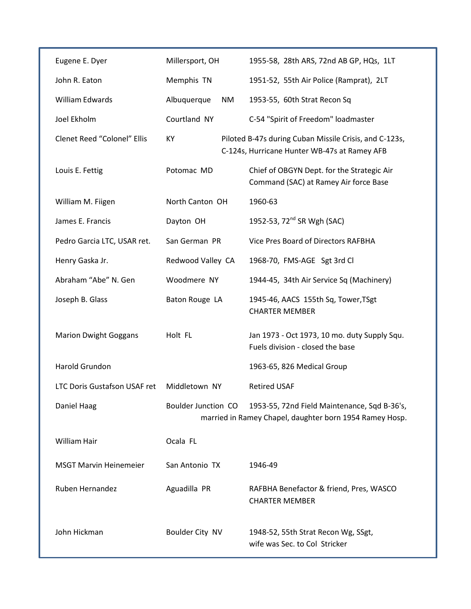| Eugene E. Dyer                      | Millersport, OH            | 1955-58, 28th ARS, 72nd AB GP, HQs, 1LT                                                                 |
|-------------------------------------|----------------------------|---------------------------------------------------------------------------------------------------------|
| John R. Eaton                       | Memphis TN                 | 1951-52, 55th Air Police (Ramprat), 2LT                                                                 |
| William Edwards                     | Albuquerque<br>NM          | 1953-55, 60th Strat Recon Sq                                                                            |
| Joel Ekholm                         | Courtland NY               | C-54 "Spirit of Freedom" loadmaster                                                                     |
| <b>Clenet Reed "Colonel" Ellis</b>  | KY                         | Piloted B-47s during Cuban Missile Crisis, and C-123s,<br>C-124s, Hurricane Hunter WB-47s at Ramey AFB  |
| Louis E. Fettig                     | Potomac MD                 | Chief of OBGYN Dept. for the Strategic Air<br>Command (SAC) at Ramey Air force Base                     |
| William M. Fiigen                   | North Canton OH            | 1960-63                                                                                                 |
| James E. Francis                    | Dayton OH                  | 1952-53, 72 <sup>nd</sup> SR Wgh (SAC)                                                                  |
| Pedro Garcia LTC, USAR ret.         | San German PR              | Vice Pres Board of Directors RAFBHA                                                                     |
| Henry Gaska Jr.                     | Redwood Valley CA          | 1968-70, FMS-AGE Sgt 3rd Cl                                                                             |
| Abraham "Abe" N. Gen                | Woodmere NY                | 1944-45, 34th Air Service Sq (Machinery)                                                                |
| Joseph B. Glass                     | Baton Rouge LA             | 1945-46, AACS 155th Sq, Tower, TSgt<br><b>CHARTER MEMBER</b>                                            |
| <b>Marion Dwight Goggans</b>        | Holt FL                    | Jan 1973 - Oct 1973, 10 mo. duty Supply Squ.<br>Fuels division - closed the base                        |
| Harold Grundon                      |                            | 1963-65, 826 Medical Group                                                                              |
| <b>LTC Doris Gustafson USAF ret</b> | Middletown NY              | <b>Retired USAF</b>                                                                                     |
| Daniel Haag                         | <b>Boulder Junction CO</b> | 1953-55, 72nd Field Maintenance, Sqd B-36's,<br>married in Ramey Chapel, daughter born 1954 Ramey Hosp. |
| William Hair                        | Ocala FL                   |                                                                                                         |
| <b>MSGT Marvin Heinemeier</b>       | San Antonio TX             | 1946-49                                                                                                 |
| <b>Ruben Hernandez</b>              | Aguadilla PR               | RAFBHA Benefactor & friend, Pres, WASCO<br><b>CHARTER MEMBER</b>                                        |
| John Hickman                        | Boulder City NV            | 1948-52, 55th Strat Recon Wg, SSgt,<br>wife was Sec. to Col Stricker                                    |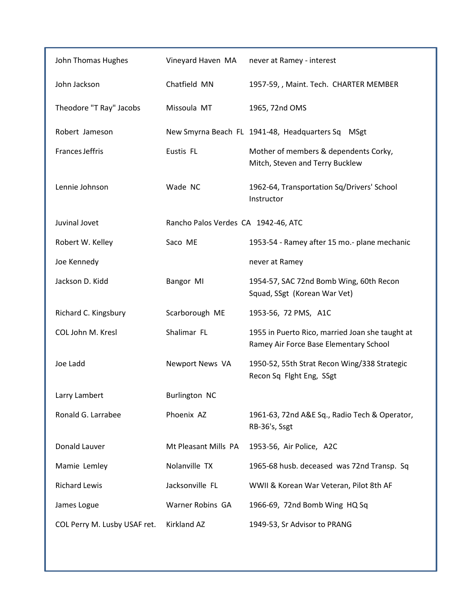| John Thomas Hughes           | Vineyard Haven MA                   | never at Ramey - interest                                                                 |
|------------------------------|-------------------------------------|-------------------------------------------------------------------------------------------|
| John Jackson                 | Chatfield MN                        | 1957-59, , Maint. Tech. CHARTER MEMBER                                                    |
| Theodore "T Ray" Jacobs      | Missoula MT                         | 1965, 72nd OMS                                                                            |
| Robert Jameson               |                                     | New Smyrna Beach FL 1941-48, Headquarters Sq MSgt                                         |
| <b>Frances Jeffris</b>       | Eustis FL                           | Mother of members & dependents Corky,<br>Mitch, Steven and Terry Bucklew                  |
| Lennie Johnson               | Wade NC                             | 1962-64, Transportation Sq/Drivers' School<br>Instructor                                  |
| Juvinal Jovet                | Rancho Palos Verdes CA 1942-46, ATC |                                                                                           |
| Robert W. Kelley             | Saco ME                             | 1953-54 - Ramey after 15 mo.- plane mechanic                                              |
| Joe Kennedy                  |                                     | never at Ramey                                                                            |
| Jackson D. Kidd              | Bangor MI                           | 1954-57, SAC 72nd Bomb Wing, 60th Recon<br>Squad, SSgt (Korean War Vet)                   |
| Richard C. Kingsbury         | Scarborough ME                      | 1953-56, 72 PMS, A1C                                                                      |
| COL John M. Kresl            | Shalimar FL                         | 1955 in Puerto Rico, married Joan she taught at<br>Ramey Air Force Base Elementary School |
| Joe Ladd                     | Newport News VA                     | 1950-52, 55th Strat Recon Wing/338 Strategic<br>Recon Sq Flght Eng, SSgt                  |
| Larry Lambert                | <b>Burlington NC</b>                |                                                                                           |
| Ronald G. Larrabee           | Phoenix AZ                          | 1961-63, 72nd A&E Sq., Radio Tech & Operator,<br>RB-36's, Ssgt                            |
| Donald Lauver                | Mt Pleasant Mills PA                | 1953-56, Air Police, A2C                                                                  |
| Mamie Lemley                 | Nolanville TX                       | 1965-68 husb. deceased was 72nd Transp. Sq                                                |
| <b>Richard Lewis</b>         | Jacksonville FL                     | WWII & Korean War Veteran, Pilot 8th AF                                                   |
| James Logue                  | Warner Robins GA                    | 1966-69, 72nd Bomb Wing HQ Sq                                                             |
| COL Perry M. Lusby USAF ret. | <b>Kirkland AZ</b>                  | 1949-53, Sr Advisor to PRANG                                                              |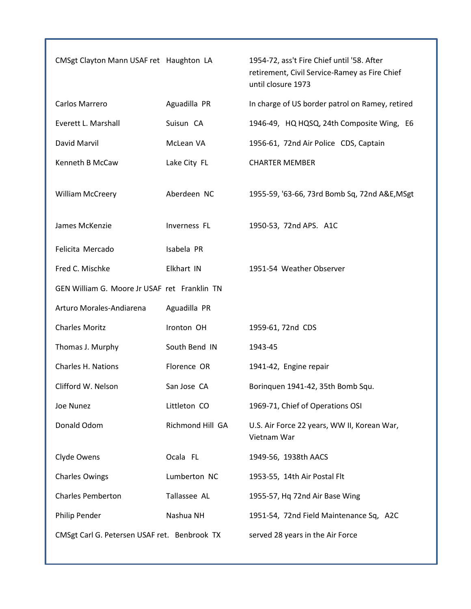| CMSgt Clayton Mann USAF ret Haughton LA      |                  | 1954-72, ass't Fire Chief until '58. After<br>retirement, Civil Service-Ramey as Fire Chief<br>until closure 1973 |
|----------------------------------------------|------------------|-------------------------------------------------------------------------------------------------------------------|
| Carlos Marrero                               | Aguadilla PR     | In charge of US border patrol on Ramey, retired                                                                   |
| Everett L. Marshall                          | Suisun CA        | 1946-49, HQ HQSQ, 24th Composite Wing, E6                                                                         |
| David Marvil                                 | McLean VA        | 1956-61, 72nd Air Police CDS, Captain                                                                             |
| Kenneth B McCaw                              | Lake City FL     | <b>CHARTER MEMBER</b>                                                                                             |
| William McCreery                             | Aberdeen NC      | 1955-59, '63-66, 73rd Bomb Sq, 72nd A&E, MSgt                                                                     |
| James McKenzie                               | Inverness FL     | 1950-53, 72nd APS. A1C                                                                                            |
| Felicita Mercado                             | Isabela PR       |                                                                                                                   |
| Fred C. Mischke                              | Elkhart IN       | 1951-54 Weather Observer                                                                                          |
| GEN William G. Moore Jr USAF ret Franklin TN |                  |                                                                                                                   |
| Arturo Morales-Andiarena                     | Aguadilla PR     |                                                                                                                   |
| <b>Charles Moritz</b>                        | Ironton OH       | 1959-61, 72nd CDS                                                                                                 |
| Thomas J. Murphy                             | South Bend IN    | 1943-45                                                                                                           |
| <b>Charles H. Nations</b>                    | Florence OR      | 1941-42, Engine repair                                                                                            |
| Clifford W. Nelson                           | San Jose CA      | Borinquen 1941-42, 35th Bomb Squ.                                                                                 |
| Joe Nunez                                    | Littleton CO     | 1969-71, Chief of Operations OSI                                                                                  |
| Donald Odom                                  | Richmond Hill GA | U.S. Air Force 22 years, WW II, Korean War,<br>Vietnam War                                                        |
| Clyde Owens                                  | Ocala FL         | 1949-56, 1938th AACS                                                                                              |
| <b>Charles Owings</b>                        | Lumberton NC     | 1953-55, 14th Air Postal Flt                                                                                      |
| <b>Charles Pemberton</b>                     | Tallassee AL     | 1955-57, Hq 72nd Air Base Wing                                                                                    |
| Philip Pender                                | Nashua NH        | 1951-54, 72nd Field Maintenance Sq, A2C                                                                           |
| CMSgt Carl G. Petersen USAF ret. Benbrook TX |                  | served 28 years in the Air Force                                                                                  |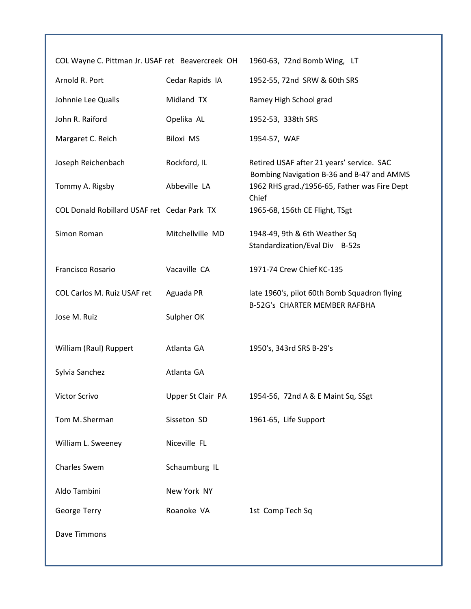| COL Wayne C. Pittman Jr. USAF ret Beavercreek OH |                   | 1960-63, 72nd Bomb Wing, LT                                                            |
|--------------------------------------------------|-------------------|----------------------------------------------------------------------------------------|
| Arnold R. Port                                   | Cedar Rapids IA   | 1952-55, 72nd SRW & 60th SRS                                                           |
| Johnnie Lee Qualls                               | Midland TX        | Ramey High School grad                                                                 |
| John R. Raiford                                  | Opelika AL        | 1952-53, 338th SRS                                                                     |
| Margaret C. Reich                                | <b>Biloxi MS</b>  | 1954-57, WAF                                                                           |
| Joseph Reichenbach                               | Rockford, IL      | Retired USAF after 21 years' service. SAC<br>Bombing Navigation B-36 and B-47 and AMMS |
| Tommy A. Rigsby                                  | Abbeville LA      | 1962 RHS grad./1956-65, Father was Fire Dept<br>Chief                                  |
| COL Donald Robillard USAF ret Cedar Park TX      |                   | 1965-68, 156th CE Flight, TSgt                                                         |
| Simon Roman                                      | Mitchellville MD  | 1948-49, 9th & 6th Weather Sq<br>Standardization/Eval Div B-52s                        |
| Francisco Rosario                                | Vacaville CA      | 1971-74 Crew Chief KC-135                                                              |
| COL Carlos M. Ruiz USAF ret                      | Aguada PR         | late 1960's, pilot 60th Bomb Squadron flying<br>B-52G's CHARTER MEMBER RAFBHA          |
| Jose M. Ruiz                                     | Sulpher OK        |                                                                                        |
| William (Raul) Ruppert                           | Atlanta GA        | 1950's, 343rd SRS B-29's                                                               |
| Sylvia Sanchez                                   | Atlanta GA        |                                                                                        |
| Victor Scrivo                                    | Upper St Clair PA | 1954-56, 72nd A & E Maint Sq, SSgt                                                     |
| Tom M. Sherman                                   | Sisseton SD       | 1961-65, Life Support                                                                  |
| William L. Sweeney                               | Niceville FL      |                                                                                        |
| Charles Swem                                     | Schaumburg IL     |                                                                                        |
| Aldo Tambini                                     | New York NY       |                                                                                        |
| George Terry                                     | Roanoke VA        | 1st Comp Tech Sq                                                                       |
| Dave Timmons                                     |                   |                                                                                        |